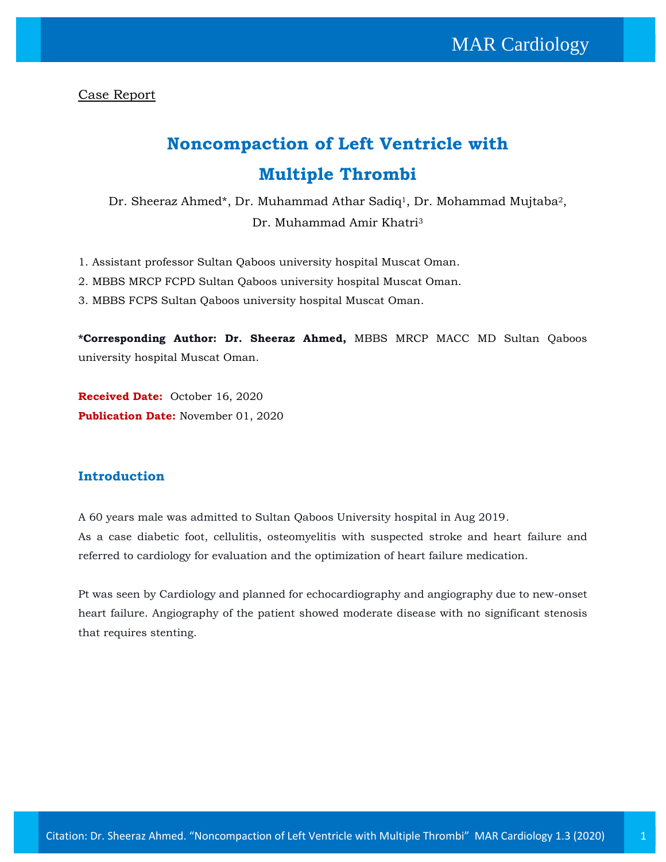Case Report

# **Noncompaction of Left Ventricle with Multiple Thrombi**

Dr. Sheeraz Ahmed\*, Dr. Muhammad Athar Sadiq<sup>1</sup>, Dr. Mohammad Mujtaba<sup>2</sup>, Dr. Muhammad Amir Khatri<sup>3</sup>

- 1. Assistant professor Sultan Qaboos university hospital Muscat Oman.
- 2. MBBS MRCP FCPD Sultan Qaboos university hospital Muscat Oman.
- 3. MBBS FCPS Sultan Qaboos university hospital Muscat Oman.

**\*Corresponding Author: Dr. Sheeraz Ahmed,** MBBS MRCP MACC MD Sultan Qaboos university hospital Muscat Oman.

**Received Date:** October 16, 2020 **Publication Date:** November 01, 2020

## **Introduction**

A 60 years male was admitted to Sultan Qaboos University hospital in Aug 2019. As a case diabetic foot, cellulitis, osteomyelitis with suspected stroke and heart failure and referred to cardiology for evaluation and the optimization of heart failure medication.

Pt was seen by Cardiology and planned for echocardiography and angiography due to new-onset heart failure. Angiography of the patient showed moderate disease with no significant stenosis that requires stenting.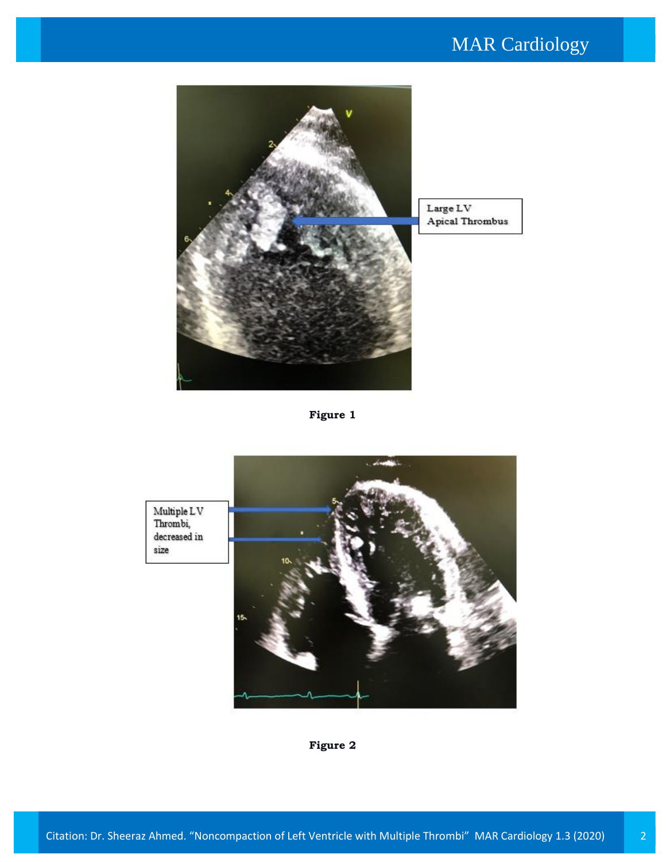## MAR Cardiology



**Figure 1**



**Figure 2**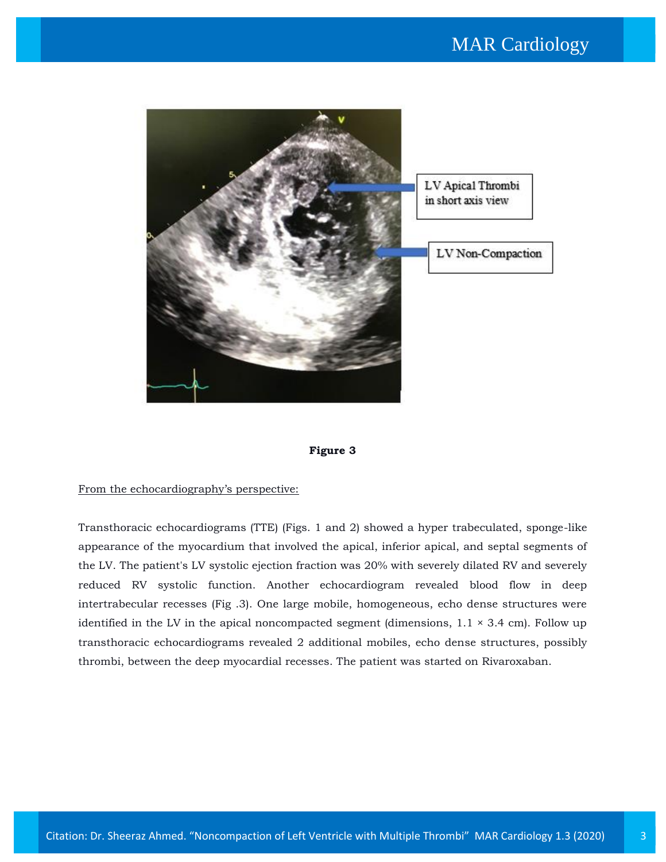



#### From the echocardiography's perspective:

Transthoracic echocardiograms (TTE) (Figs. 1 and 2) showed a hyper trabeculated, sponge-like appearance of the myocardium that involved the apical, inferior apical, and septal segments of the LV. The patient's LV systolic ejection fraction was 20% with severely dilated RV and severely reduced RV systolic function. Another echocardiogram revealed blood flow in deep intertrabecular recesses (Fig .3). One large mobile, homogeneous, echo dense structures were identified in the LV in the apical noncompacted segment (dimensions,  $1.1 \times 3.4$  cm). Follow up transthoracic echocardiograms revealed 2 additional mobiles, echo dense structures, possibly thrombi, between the deep myocardial recesses. The patient was started on Rivaroxaban.